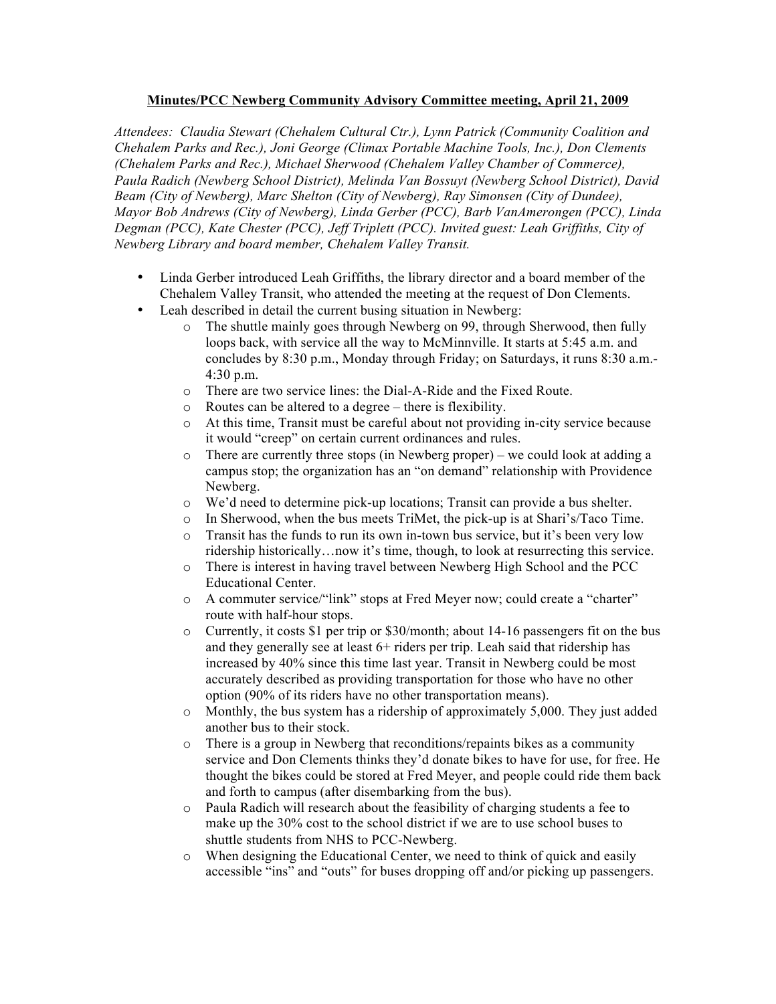## **Minutes/PCC Newberg Community Advisory Committee meeting, April 21, 2009**

*Attendees: Claudia Stewart (Chehalem Cultural Ctr.), Lynn Patrick (Community Coalition and Chehalem Parks and Rec.), Joni George (Climax Portable Machine Tools, Inc.), Don Clements (Chehalem Parks and Rec.), Michael Sherwood (Chehalem Valley Chamber of Commerce), Paula Radich (Newberg School District), Melinda Van Bossuyt (Newberg School District), David Beam (City of Newberg), Marc Shelton (City of Newberg), Ray Simonsen (City of Dundee), Mayor Bob Andrews (City of Newberg), Linda Gerber (PCC), Barb VanAmerongen (PCC), Linda Degman (PCC), Kate Chester (PCC), Jeff Triplett (PCC). Invited guest: Leah Griffiths, City of Newberg Library and board member, Chehalem Valley Transit.*

- Linda Gerber introduced Leah Griffiths, the library director and a board member of the Chehalem Valley Transit, who attended the meeting at the request of Don Clements.
- Leah described in detail the current busing situation in Newberg:
	- o The shuttle mainly goes through Newberg on 99, through Sherwood, then fully loops back, with service all the way to McMinnville. It starts at 5:45 a.m. and concludes by 8:30 p.m., Monday through Friday; on Saturdays, it runs 8:30 a.m.- 4:30 p.m.
	- o There are two service lines: the Dial-A-Ride and the Fixed Route.
	- o Routes can be altered to a degree there is flexibility.
	- o At this time, Transit must be careful about not providing in-city service because it would "creep" on certain current ordinances and rules.
	- o There are currently three stops (in Newberg proper) we could look at adding a campus stop; the organization has an "on demand" relationship with Providence Newberg.
	- o We'd need to determine pick-up locations; Transit can provide a bus shelter.
	- o In Sherwood, when the bus meets TriMet, the pick-up is at Shari's/Taco Time.
	- o Transit has the funds to run its own in-town bus service, but it's been very low ridership historically…now it's time, though, to look at resurrecting this service.
	- o There is interest in having travel between Newberg High School and the PCC Educational Center.
	- o A commuter service/"link" stops at Fred Meyer now; could create a "charter" route with half-hour stops.
	- $\circ$  Currently, it costs \$1 per trip or \$30/month; about 14-16 passengers fit on the bus and they generally see at least 6+ riders per trip. Leah said that ridership has increased by 40% since this time last year. Transit in Newberg could be most accurately described as providing transportation for those who have no other option (90% of its riders have no other transportation means).
	- o Monthly, the bus system has a ridership of approximately 5,000. They just added another bus to their stock.
	- o There is a group in Newberg that reconditions/repaints bikes as a community service and Don Clements thinks they'd donate bikes to have for use, for free. He thought the bikes could be stored at Fred Meyer, and people could ride them back and forth to campus (after disembarking from the bus).
	- o Paula Radich will research about the feasibility of charging students a fee to make up the 30% cost to the school district if we are to use school buses to shuttle students from NHS to PCC-Newberg.
	- o When designing the Educational Center, we need to think of quick and easily accessible "ins" and "outs" for buses dropping off and/or picking up passengers.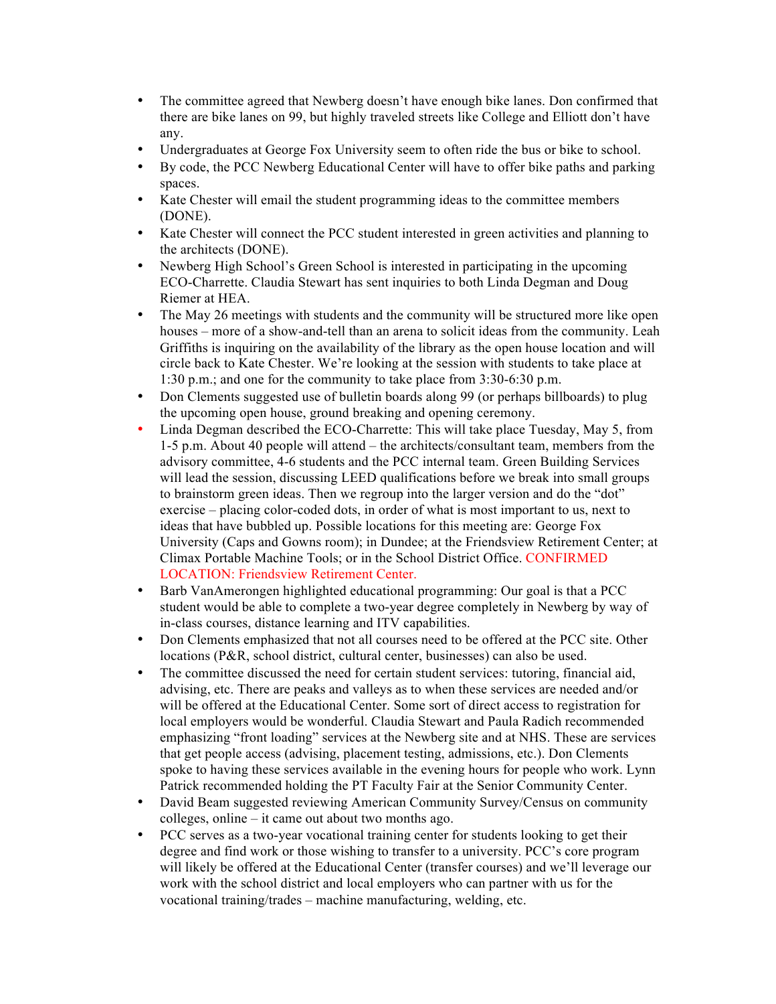- The committee agreed that Newberg doesn't have enough bike lanes. Don confirmed that there are bike lanes on 99, but highly traveled streets like College and Elliott don't have any.
- Undergraduates at George Fox University seem to often ride the bus or bike to school.
- By code, the PCC Newberg Educational Center will have to offer bike paths and parking spaces.
- Kate Chester will email the student programming ideas to the committee members (DONE).
- Kate Chester will connect the PCC student interested in green activities and planning to the architects (DONE).
- Newberg High School's Green School is interested in participating in the upcoming ECO-Charrette. Claudia Stewart has sent inquiries to both Linda Degman and Doug Riemer at HEA.
- The May 26 meetings with students and the community will be structured more like open houses – more of a show-and-tell than an arena to solicit ideas from the community. Leah Griffiths is inquiring on the availability of the library as the open house location and will circle back to Kate Chester. We're looking at the session with students to take place at 1:30 p.m.; and one for the community to take place from 3:30-6:30 p.m.
- Don Clements suggested use of bulletin boards along 99 (or perhaps billboards) to plug the upcoming open house, ground breaking and opening ceremony.
- Linda Degman described the ECO-Charrette: This will take place Tuesday, May 5, from 1-5 p.m. About 40 people will attend – the architects/consultant team, members from the advisory committee, 4-6 students and the PCC internal team. Green Building Services will lead the session, discussing LEED qualifications before we break into small groups to brainstorm green ideas. Then we regroup into the larger version and do the "dot" exercise – placing color-coded dots, in order of what is most important to us, next to ideas that have bubbled up. Possible locations for this meeting are: George Fox University (Caps and Gowns room); in Dundee; at the Friendsview Retirement Center; at Climax Portable Machine Tools; or in the School District Office. CONFIRMED LOCATION: Friendsview Retirement Center.
- Barb VanAmerongen highlighted educational programming: Our goal is that a PCC student would be able to complete a two-year degree completely in Newberg by way of in-class courses, distance learning and ITV capabilities.
- Don Clements emphasized that not all courses need to be offered at the PCC site. Other locations (P&R, school district, cultural center, businesses) can also be used.
- The committee discussed the need for certain student services: tutoring, financial aid, advising, etc. There are peaks and valleys as to when these services are needed and/or will be offered at the Educational Center. Some sort of direct access to registration for local employers would be wonderful. Claudia Stewart and Paula Radich recommended emphasizing "front loading" services at the Newberg site and at NHS. These are services that get people access (advising, placement testing, admissions, etc.). Don Clements spoke to having these services available in the evening hours for people who work. Lynn Patrick recommended holding the PT Faculty Fair at the Senior Community Center.
- David Beam suggested reviewing American Community Survey/Census on community colleges, online – it came out about two months ago.
- PCC serves as a two-year vocational training center for students looking to get their degree and find work or those wishing to transfer to a university. PCC's core program will likely be offered at the Educational Center (transfer courses) and we'll leverage our work with the school district and local employers who can partner with us for the vocational training/trades – machine manufacturing, welding, etc.